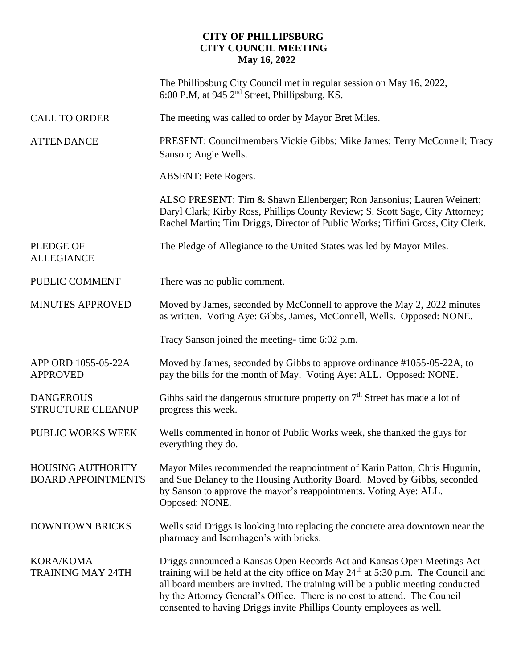## **CITY OF PHILLIPSBURG CITY COUNCIL MEETING May 16, 2022**

|                                                       | The Phillipsburg City Council met in regular session on May 16, 2022,<br>6:00 P.M, at 945 2 <sup>nd</sup> Street, Phillipsburg, KS.                                                                                                                                                                                                                                                                   |
|-------------------------------------------------------|-------------------------------------------------------------------------------------------------------------------------------------------------------------------------------------------------------------------------------------------------------------------------------------------------------------------------------------------------------------------------------------------------------|
| <b>CALL TO ORDER</b>                                  | The meeting was called to order by Mayor Bret Miles.                                                                                                                                                                                                                                                                                                                                                  |
| <b>ATTENDANCE</b>                                     | PRESENT: Councilmembers Vickie Gibbs; Mike James; Terry McConnell; Tracy<br>Sanson; Angie Wells.                                                                                                                                                                                                                                                                                                      |
|                                                       | <b>ABSENT: Pete Rogers.</b>                                                                                                                                                                                                                                                                                                                                                                           |
|                                                       | ALSO PRESENT: Tim & Shawn Ellenberger; Ron Jansonius; Lauren Weinert;<br>Daryl Clark; Kirby Ross, Phillips County Review; S. Scott Sage, City Attorney;<br>Rachel Martin; Tim Driggs, Director of Public Works; Tiffini Gross, City Clerk.                                                                                                                                                            |
| <b>PLEDGE OF</b><br><b>ALLEGIANCE</b>                 | The Pledge of Allegiance to the United States was led by Mayor Miles.                                                                                                                                                                                                                                                                                                                                 |
| PUBLIC COMMENT                                        | There was no public comment.                                                                                                                                                                                                                                                                                                                                                                          |
| <b>MINUTES APPROVED</b>                               | Moved by James, seconded by McConnell to approve the May 2, 2022 minutes<br>as written. Voting Aye: Gibbs, James, McConnell, Wells. Opposed: NONE.                                                                                                                                                                                                                                                    |
|                                                       | Tracy Sanson joined the meeting-time 6:02 p.m.                                                                                                                                                                                                                                                                                                                                                        |
| APP ORD 1055-05-22A<br><b>APPROVED</b>                | Moved by James, seconded by Gibbs to approve ordinance #1055-05-22A, to<br>pay the bills for the month of May. Voting Aye: ALL. Opposed: NONE.                                                                                                                                                                                                                                                        |
| <b>DANGEROUS</b><br><b>STRUCTURE CLEANUP</b>          | Gibbs said the dangerous structure property on $7th$ Street has made a lot of<br>progress this week.                                                                                                                                                                                                                                                                                                  |
| PUBLIC WORKS WEEK                                     | Wells commented in honor of Public Works week, she thanked the guys for<br>everything they do.                                                                                                                                                                                                                                                                                                        |
| <b>HOUSING AUTHORITY</b><br><b>BOARD APPOINTMENTS</b> | Mayor Miles recommended the reappointment of Karin Patton, Chris Hugunin,<br>and Sue Delaney to the Housing Authority Board. Moved by Gibbs, seconded<br>by Sanson to approve the mayor's reappointments. Voting Aye: ALL.<br>Opposed: NONE.                                                                                                                                                          |
| <b>DOWNTOWN BRICKS</b>                                | Wells said Driggs is looking into replacing the concrete area downtown near the<br>pharmacy and Isernhagen's with bricks.                                                                                                                                                                                                                                                                             |
| KORA/KOMA<br><b>TRAINING MAY 24TH</b>                 | Driggs announced a Kansas Open Records Act and Kansas Open Meetings Act<br>training will be held at the city office on May $24th$ at 5:30 p.m. The Council and<br>all board members are invited. The training will be a public meeting conducted<br>by the Attorney General's Office. There is no cost to attend. The Council<br>consented to having Driggs invite Phillips County employees as well. |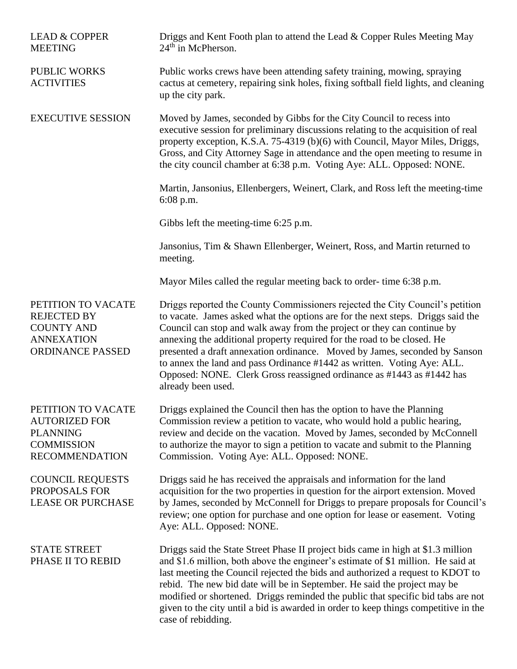| <b>LEAD &amp; COPPER</b><br><b>MEETING</b>                                                                  | Driggs and Kent Footh plan to attend the Lead & Copper Rules Meeting May<br>$24th$ in McPherson.                                                                                                                                                                                                                                                                                                                                                                                                                                                                               |
|-------------------------------------------------------------------------------------------------------------|--------------------------------------------------------------------------------------------------------------------------------------------------------------------------------------------------------------------------------------------------------------------------------------------------------------------------------------------------------------------------------------------------------------------------------------------------------------------------------------------------------------------------------------------------------------------------------|
| <b>PUBLIC WORKS</b><br><b>ACTIVITIES</b>                                                                    | Public works crews have been attending safety training, mowing, spraying<br>cactus at cemetery, repairing sink holes, fixing softball field lights, and cleaning<br>up the city park.                                                                                                                                                                                                                                                                                                                                                                                          |
| <b>EXECUTIVE SESSION</b>                                                                                    | Moved by James, seconded by Gibbs for the City Council to recess into<br>executive session for preliminary discussions relating to the acquisition of real<br>property exception, K.S.A. 75-4319 (b)(6) with Council, Mayor Miles, Driggs,<br>Gross, and City Attorney Sage in attendance and the open meeting to resume in<br>the city council chamber at 6:38 p.m. Voting Aye: ALL. Opposed: NONE.                                                                                                                                                                           |
|                                                                                                             | Martin, Jansonius, Ellenbergers, Weinert, Clark, and Ross left the meeting-time<br>$6:08$ p.m.                                                                                                                                                                                                                                                                                                                                                                                                                                                                                 |
|                                                                                                             | Gibbs left the meeting-time 6:25 p.m.                                                                                                                                                                                                                                                                                                                                                                                                                                                                                                                                          |
|                                                                                                             | Jansonius, Tim & Shawn Ellenberger, Weinert, Ross, and Martin returned to<br>meeting.                                                                                                                                                                                                                                                                                                                                                                                                                                                                                          |
|                                                                                                             | Mayor Miles called the regular meeting back to order-time 6:38 p.m.                                                                                                                                                                                                                                                                                                                                                                                                                                                                                                            |
| PETITION TO VACATE<br><b>REJECTED BY</b><br><b>COUNTY AND</b><br><b>ANNEXATION</b><br>ORDINANCE PASSED      | Driggs reported the County Commissioners rejected the City Council's petition<br>to vacate. James asked what the options are for the next steps. Driggs said the<br>Council can stop and walk away from the project or they can continue by<br>annexing the additional property required for the road to be closed. He<br>presented a draft annexation ordinance. Moved by James, seconded by Sanson<br>to annex the land and pass Ordinance #1442 as written. Voting Aye: ALL.<br>Opposed: NONE. Clerk Gross reassigned ordinance as #1443 as #1442 has<br>already been used. |
| PETITION TO VACATE<br><b>AUTORIZED FOR</b><br><b>PLANNING</b><br><b>COMMISSION</b><br><b>RECOMMENDATION</b> | Driggs explained the Council then has the option to have the Planning<br>Commission review a petition to vacate, who would hold a public hearing,<br>review and decide on the vacation. Moved by James, seconded by McConnell<br>to authorize the mayor to sign a petition to vacate and submit to the Planning<br>Commission. Voting Aye: ALL. Opposed: NONE.                                                                                                                                                                                                                 |
| <b>COUNCIL REQUESTS</b><br>PROPOSALS FOR<br><b>LEASE OR PURCHASE</b>                                        | Driggs said he has received the appraisals and information for the land<br>acquisition for the two properties in question for the airport extension. Moved<br>by James, seconded by McConnell for Driggs to prepare proposals for Council's<br>review; one option for purchase and one option for lease or easement. Voting<br>Aye: ALL. Opposed: NONE.                                                                                                                                                                                                                        |
| <b>STATE STREET</b><br>PHASE II TO REBID                                                                    | Driggs said the State Street Phase II project bids came in high at \$1.3 million<br>and \$1.6 million, both above the engineer's estimate of \$1 million. He said at<br>last meeting the Council rejected the bids and authorized a request to KDOT to<br>rebid. The new bid date will be in September. He said the project may be<br>modified or shortened. Driggs reminded the public that specific bid tabs are not<br>given to the city until a bid is awarded in order to keep things competitive in the<br>case of rebidding.                                            |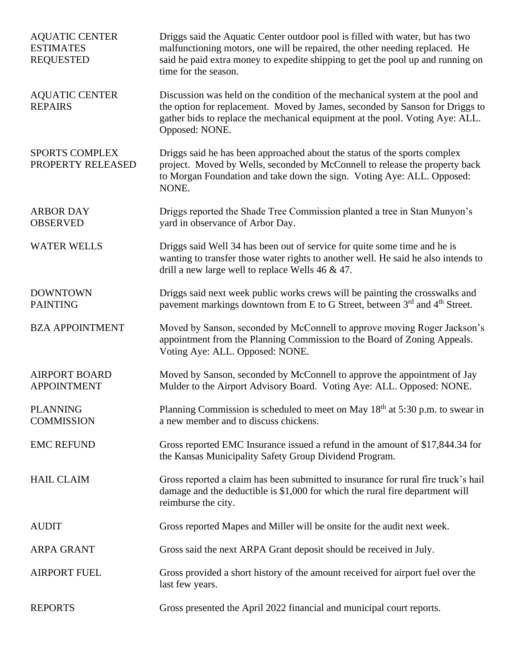| <b>AQUATIC CENTER</b><br><b>ESTIMATES</b><br><b>REQUESTED</b> | Driggs said the Aquatic Center outdoor pool is filled with water, but has two<br>malfunctioning motors, one will be repaired, the other needing replaced. He<br>said he paid extra money to expedite shipping to get the pool up and running on<br>time for the season. |
|---------------------------------------------------------------|-------------------------------------------------------------------------------------------------------------------------------------------------------------------------------------------------------------------------------------------------------------------------|
| <b>AQUATIC CENTER</b><br><b>REPAIRS</b>                       | Discussion was held on the condition of the mechanical system at the pool and<br>the option for replacement. Moved by James, seconded by Sanson for Driggs to<br>gather bids to replace the mechanical equipment at the pool. Voting Aye: ALL.<br>Opposed: NONE.        |
| <b>SPORTS COMPLEX</b><br>PROPERTY RELEASED                    | Driggs said he has been approached about the status of the sports complex<br>project. Moved by Wells, seconded by McConnell to release the property back<br>to Morgan Foundation and take down the sign. Voting Aye: ALL. Opposed:<br>NONE.                             |
| <b>ARBOR DAY</b><br><b>OBSERVED</b>                           | Driggs reported the Shade Tree Commission planted a tree in Stan Munyon's<br>yard in observance of Arbor Day.                                                                                                                                                           |
| <b>WATER WELLS</b>                                            | Driggs said Well 34 has been out of service for quite some time and he is<br>wanting to transfer those water rights to another well. He said he also intends to<br>drill a new large well to replace Wells $46 \& 47$ .                                                 |
| <b>DOWNTOWN</b><br><b>PAINTING</b>                            | Driggs said next week public works crews will be painting the crosswalks and<br>pavement markings downtown from E to G Street, between 3 <sup>rd</sup> and 4 <sup>th</sup> Street.                                                                                      |
| <b>BZA APPOINTMENT</b>                                        | Moved by Sanson, seconded by McConnell to approve moving Roger Jackson's<br>appointment from the Planning Commission to the Board of Zoning Appeals.<br>Voting Aye: ALL. Opposed: NONE.                                                                                 |
| <b>AIRPORT BOARD</b><br><b>APPOINTMENT</b>                    | Moved by Sanson, seconded by McConnell to approve the appointment of Jay<br>Mulder to the Airport Advisory Board. Voting Aye: ALL. Opposed: NONE.                                                                                                                       |
| <b>PLANNING</b><br><b>COMMISSION</b>                          | Planning Commission is scheduled to meet on May 18 <sup>th</sup> at 5:30 p.m. to swear in<br>a new member and to discuss chickens.                                                                                                                                      |
| <b>EMC REFUND</b>                                             | Gross reported EMC Insurance issued a refund in the amount of \$17,844.34 for<br>the Kansas Municipality Safety Group Dividend Program.                                                                                                                                 |
| <b>HAIL CLAIM</b>                                             | Gross reported a claim has been submitted to insurance for rural fire truck's hail<br>damage and the deductible is \$1,000 for which the rural fire department will<br>reimburse the city.                                                                              |
| <b>AUDIT</b>                                                  | Gross reported Mapes and Miller will be onsite for the audit next week.                                                                                                                                                                                                 |
| <b>ARPA GRANT</b>                                             | Gross said the next ARPA Grant deposit should be received in July.                                                                                                                                                                                                      |
| <b>AIRPORT FUEL</b>                                           | Gross provided a short history of the amount received for airport fuel over the<br>last few years.                                                                                                                                                                      |
| <b>REPORTS</b>                                                | Gross presented the April 2022 financial and municipal court reports.                                                                                                                                                                                                   |